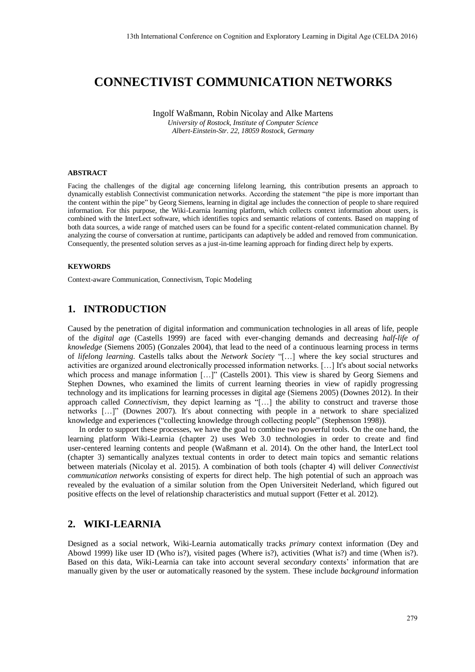# **CONNECTIVIST COMMUNICATION NETWORKS**

Ingolf Waßmann, Robin Nicolay and Alke Martens *University of Rostock, Institute of Computer Science Albert-Einstein-Str. 22, 18059 Rostock, Germany* 

#### **ABSTRACT**

Facing the challenges of the digital age concerning lifelong learning, this contribution presents an approach to dynamically establish Connectivist communication networks. According the statement "the pipe is more important than the content within the pipe" by Georg Siemens, learning in digital age includes the connection of people to share required information. For this purpose, the Wiki-Learnia learning platform, which collects context information about users, is combined with the InterLect software, which identifies topics and semantic relations of contents. Based on mapping of both data sources, a wide range of matched users can be found for a specific content-related communication channel. By analyzing the course of conversation at runtime, participants can adaptively be added and removed from communication. Consequently, the presented solution serves as a just-in-time learning approach for finding direct help by experts.

#### **KEYWORDS**

Context-aware Communication, Connectivism, Topic Modeling

### **1. INTRODUCTION**

Caused by the penetration of digital information and communication technologies in all areas of life, people of the *digital age* (Castells 1999) are faced with ever-changing demands and decreasing *half-life of knowledge* (Siemens 2005) (Gonzales 2004), that lead to the need of a continuous learning process in terms of *lifelong learning*. Castells talks about the *Network Society* "[…] where the key social structures and activities are organized around electronically processed information networks. […] It's about social networks which process and manage information [...]" (Castells 2001). This view is shared by Georg Siemens and Stephen Downes, who examined the limits of current learning theories in view of rapidly progressing technology and its implications for learning processes in digital age (Siemens 2005) (Downes 2012). In their approach called *Connectivism*, they depict learning as "[…] the ability to construct and traverse those networks […]" (Downes 2007). It's about connecting with people in a network to share specialized knowledge and experiences ("collecting knowledge through collecting people" (Stephenson 1998)).

In order to support these processes, we have the goal to combine two powerful tools. On the one hand, the learning platform Wiki-Learnia (chapter 2) uses Web 3.0 technologies in order to create and find user-centered learning contents and people (Waßmann et al. 2014). On the other hand, the InterLect tool (chapter 3) semantically analyzes textual contents in order to detect main topics and semantic relations between materials (Nicolay et al. 2015). A combination of both tools (chapter 4) will deliver *Connectivist communication networks* consisting of experts for direct help. The high potential of such an approach was revealed by the evaluation of a similar solution from the Open Universiteit Nederland, which figured out positive effects on the level of relationship characteristics and mutual support (Fetter et al. 2012).

### **2. WIKI-LEARNIA**

Designed as a social network, Wiki-Learnia automatically tracks *primary* context information (Dey and Abowd 1999) like user ID (Who is?), visited pages (Where is?), activities (What is?) and time (When is?). Based on this data, Wiki-Learnia can take into account several *secondary* contexts' information that are manually given by the user or automatically reasoned by the system. These include *background* information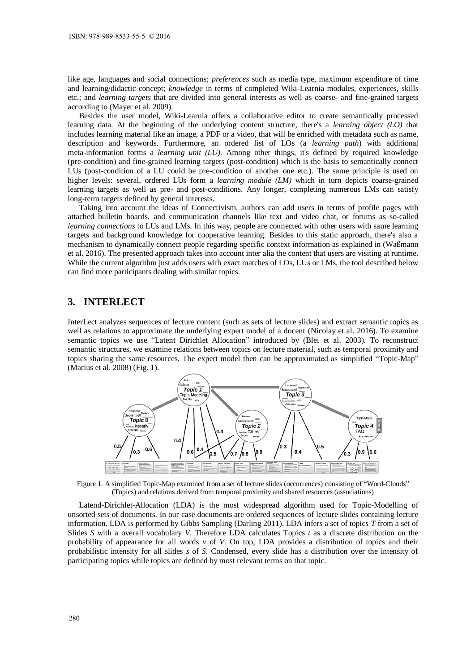like age, languages and social connections; *preferences* such as media type, maximum expenditure of time and learning/didactic concept; *knowledge* in terms of completed Wiki-Learnia modules, experiences, skills etc.; and *learning targets* that are divided into general interests as well as coarse- and fine-grained targets according to (Mayer et al. 2009).

Besides the user model, Wiki-Learnia offers a collaborative editor to create semantically processed learning data. At the beginning of the underlying content structure, there's a *learning object (LO)* that includes learning material like an image, a PDF or a video, that will be enriched with metadata such as name, description and keywords. Furthermore, an ordered list of LOs (a *learning path*) with additional meta-information forms a *learning unit (LU)*. Among other things, it's defined by required knowledge (pre-condition) and fine-grained learning targets (post-condition) which is the basis to semantically connect LUs (post-condition of a LU could be pre-condition of another one etc.). The same principle is used on higher levels: several, ordered LUs form a *learning module (LM)* which in turn depicts coarse-grained learning targets as well as pre- and post-conditions. Any longer, completing numerous LMs can satisfy long-term targets defined by general interests.

Taking into account the ideas of Connectivism, authors can add users in terms of profile pages with attached bulletin boards, and communication channels like text and video chat, or forums as so-called *learning connections* to LUs and LMs. In this way, people are connected with other users with same learning targets and background knowledge for cooperative learning. Besides to this static approach, there's also a mechanism to dynamically connect people regarding specific context information as explained in (Waßmann et al. 2016). The presented approach takes into account inter alia the content that users are visiting at runtime. While the current algorithm just adds users with exact matches of LOs, LUs or LMs, the tool described below can find more participants dealing with similar topics.

# **3. INTERLECT**

InterLect analyzes sequences of lecture content (such as sets of lecture slides) and extract semantic topics as well as relations to approximate the underlying expert model of a docent (Nicolay et al. 2016). To examine semantic topics we use "Latent Dirichlet Allocation" introduced by (Blei et al. 2003). To reconstruct semantic structures, we examine relations between topics on lecture material, such as temporal proximity and topics sharing the same resources. The expert model then can be approximated as simplified "Topic-Map" (Marius et al. 2008) (Fig. 1).



Figure 1. A simplified Topic-Map examined from a set of lecture slides (occurrences) consisting of "Word-Clouds" (Topics) and relations derived from temporal proximity and shared resources (associations)

Latend-Dirichlet-Allocation (LDA) is the most widespread algorithm used for Topic-Modelling of unsorted sets of documents. In our case documents are ordered sequences of lecture slides containing lecture information. LDA is performed by Gibbs Sampling (Darling 2011). LDA infers a set of topics *T* from a set of Slides *S* with a overall vocabulary *V*. Therefore LDA calculates Topics *t* as a discrete distribution on the probability of appearance for all words *v* of *V*. On top, LDA provides a distribution of topics and their probabilistic intensity for all slides *s* of *S*. Condensed, every slide has a distribution over the intensity of participating topics while topics are defined by most relevant terms on that topic.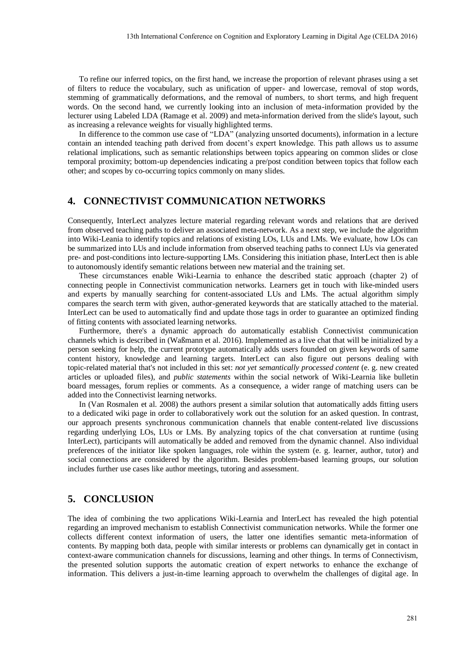To refine our inferred topics, on the first hand, we increase the proportion of relevant phrases using a set of filters to reduce the vocabulary, such as unification of upper- and lowercase, removal of stop words, stemming of grammatically deformations, and the removal of numbers, to short terms, and high frequent words. On the second hand, we currently looking into an inclusion of meta-information provided by the lecturer using Labeled LDA (Ramage et al. 2009) and meta-information derived from the slide's layout, such as increasing a relevance weights for visually highlighted terms.

In difference to the common use case of "LDA" (analyzing unsorted documents), information in a lecture contain an intended teaching path derived from docent's expert knowledge. This path allows us to assume relational implications, such as semantic relationships between topics appearing on common slides or close temporal proximity; bottom-up dependencies indicating a pre/post condition between topics that follow each other; and scopes by co-occurring topics commonly on many slides.

# **4. CONNECTIVIST COMMUNICATION NETWORKS**

Consequently, InterLect analyzes lecture material regarding relevant words and relations that are derived from observed teaching paths to deliver an associated meta-network. As a next step, we include the algorithm into Wiki-Leania to identify topics and relations of existing LOs, LUs and LMs. We evaluate, how LOs can be summarized into LUs and include information from observed teaching paths to connect LUs via generated pre- and post-conditions into lecture-supporting LMs. Considering this initiation phase, InterLect then is able to autonomously identify semantic relations between new material and the training set.

These circumstances enable Wiki-Learnia to enhance the described static approach (chapter 2) of connecting people in Connectivist communication networks. Learners get in touch with like-minded users and experts by manually searching for content-associated LUs and LMs. The actual algorithm simply compares the search term with given, author-generated keywords that are statically attached to the material. InterLect can be used to automatically find and update those tags in order to guarantee an optimized finding of fitting contents with associated learning networks.

Furthermore, there's a dynamic approach do automatically establish Connectivist communication channels which is described in (Waßmann et al. 2016). Implemented as a live chat that will be initialized by a person seeking for help, the current prototype automatically adds users founded on given keywords of same content history, knowledge and learning targets. InterLect can also figure out persons dealing with topic-related material that's not included in this set: *not yet semantically processed content* (e. g. new created articles or uploaded files), and *public statements* within the social network of Wiki-Learnia like bulletin board messages, forum replies or comments. As a consequence, a wider range of matching users can be added into the Connectivist learning networks.

In (Van Rosmalen et al. 2008) the authors present a similar solution that automatically adds fitting users to a dedicated wiki page in order to collaboratively work out the solution for an asked question. In contrast, our approach presents synchronous communication channels that enable content-related live discussions regarding underlying LOs, LUs or LMs. By analyzing topics of the chat conversation at runtime (using InterLect), participants will automatically be added and removed from the dynamic channel. Also individual preferences of the initiator like spoken languages, role within the system (e. g. learner, author, tutor) and social connections are considered by the algorithm. Besides problem-based learning groups, our solution includes further use cases like author meetings, tutoring and assessment.

# **5. CONCLUSION**

The idea of combining the two applications Wiki-Learnia and InterLect has revealed the high potential regarding an improved mechanism to establish Connectivist communication networks. While the former one collects different context information of users, the latter one identifies semantic meta-information of contents. By mapping both data, people with similar interests or problems can dynamically get in contact in context-aware communication channels for discussions, learning and other things. In terms of Connectivism, the presented solution supports the automatic creation of expert networks to enhance the exchange of information. This delivers a just-in-time learning approach to overwhelm the challenges of digital age. In